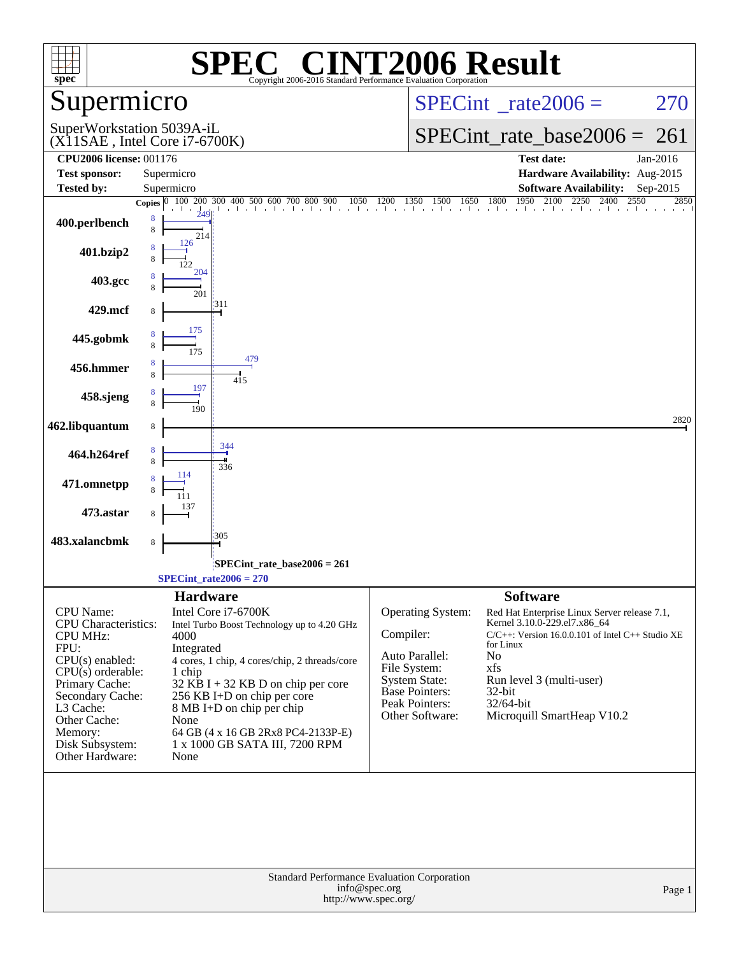| <b>CINT2006 Result</b><br>$\bigcap$<br>spec <sup>®</sup><br>Copyright 2006-2016 Standard Performance Evaluation Corporation |                                                                                      |                                                                                                                                                                             |  |  |  |  |  |  |
|-----------------------------------------------------------------------------------------------------------------------------|--------------------------------------------------------------------------------------|-----------------------------------------------------------------------------------------------------------------------------------------------------------------------------|--|--|--|--|--|--|
| Supermicro                                                                                                                  |                                                                                      | $SPECint^{\circ}$ <sub>_rate2006</sub> =<br>270                                                                                                                             |  |  |  |  |  |  |
| SuperWorkstation 5039A-iL                                                                                                   | $(X11SAE$ , Intel Core i7-6700K)                                                     | $SPECint_rate_base2006 = 261$                                                                                                                                               |  |  |  |  |  |  |
| <b>CPU2006 license: 001176</b>                                                                                              |                                                                                      | <b>Test date:</b><br>Jan-2016                                                                                                                                               |  |  |  |  |  |  |
| <b>Test sponsor:</b>                                                                                                        | Supermicro                                                                           | Hardware Availability: Aug-2015                                                                                                                                             |  |  |  |  |  |  |
| Tested by:                                                                                                                  | Supermicro                                                                           | <b>Software Availability:</b><br>Sep-2015<br>2550<br>2850                                                                                                                   |  |  |  |  |  |  |
| 400.perlbench                                                                                                               | 8<br>8<br>214                                                                        | <b>Copies</b> $\begin{bmatrix} 0 & 100 & 200 & 300 & 400 & 500 & 600 & 700 & 800 & 900 & 1050 & 1200 & 1350 & 1500 & 1650 & 1800 & 1950 & 2100 & 2250 & 2400 \end{bmatrix}$ |  |  |  |  |  |  |
| 401.bzip2                                                                                                                   | 126                                                                                  |                                                                                                                                                                             |  |  |  |  |  |  |
| 403.gcc                                                                                                                     | 204<br>201                                                                           |                                                                                                                                                                             |  |  |  |  |  |  |
| 429.mcf                                                                                                                     | 311<br>8                                                                             |                                                                                                                                                                             |  |  |  |  |  |  |
| 445.gobmk                                                                                                                   | 175<br>8                                                                             |                                                                                                                                                                             |  |  |  |  |  |  |
| 456.hmmer                                                                                                                   | 479<br>8<br>8<br>415                                                                 |                                                                                                                                                                             |  |  |  |  |  |  |
| 458.sjeng                                                                                                                   | 197<br>190                                                                           |                                                                                                                                                                             |  |  |  |  |  |  |
| 462.libquantum                                                                                                              | 8                                                                                    | 2820                                                                                                                                                                        |  |  |  |  |  |  |
| 464.h264ref                                                                                                                 | 344<br>8<br>8<br>336                                                                 |                                                                                                                                                                             |  |  |  |  |  |  |
| 471.omnetpp                                                                                                                 | 114                                                                                  |                                                                                                                                                                             |  |  |  |  |  |  |
| 473.astar                                                                                                                   | 305                                                                                  |                                                                                                                                                                             |  |  |  |  |  |  |
| 483.xalancbmk                                                                                                               | 8                                                                                    |                                                                                                                                                                             |  |  |  |  |  |  |
|                                                                                                                             | $SPECint$ rate_base2006 = 261<br>$SPECint_rate2006 = 270$                            |                                                                                                                                                                             |  |  |  |  |  |  |
|                                                                                                                             | <b>Hardware</b>                                                                      | <b>Software</b>                                                                                                                                                             |  |  |  |  |  |  |
| CPU Name:<br><b>CPU</b> Characteristics:                                                                                    | Intel Core i7-6700K<br>Intel Turbo Boost Technology up to 4.20 GHz                   | Operating System:<br>Red Hat Enterprise Linux Server release 7.1,<br>Kernel 3.10.0-229.el7.x86_64                                                                           |  |  |  |  |  |  |
| <b>CPU MHz:</b>                                                                                                             | 4000                                                                                 | Compiler:<br>$C/C++$ : Version 16.0.0.101 of Intel $C++$ Studio XE<br>for Linux                                                                                             |  |  |  |  |  |  |
| FPU:<br>$CPU(s)$ enabled:                                                                                                   | Integrated<br>4 cores, 1 chip, 4 cores/chip, 2 threads/core                          | Auto Parallel:<br>N <sub>o</sub>                                                                                                                                            |  |  |  |  |  |  |
| $CPU(s)$ orderable:                                                                                                         | 1 chip                                                                               | File System:<br>xfs                                                                                                                                                         |  |  |  |  |  |  |
| Primary Cache:                                                                                                              | $32$ KB I + 32 KB D on chip per core                                                 | Run level 3 (multi-user)<br><b>System State:</b><br><b>Base Pointers:</b><br>32-bit                                                                                         |  |  |  |  |  |  |
| Secondary Cache:<br>L3 Cache:                                                                                               | 256 KB I+D on chip per core<br>8 MB I+D on chip per chip                             | Peak Pointers:<br>$32/64$ -bit                                                                                                                                              |  |  |  |  |  |  |
| Other Cache:                                                                                                                | None                                                                                 | Microquill SmartHeap V10.2<br>Other Software:                                                                                                                               |  |  |  |  |  |  |
| Memory:                                                                                                                     | 64 GB (4 x 16 GB 2Rx8 PC4-2133P-E)                                                   |                                                                                                                                                                             |  |  |  |  |  |  |
| Disk Subsystem:<br>Other Hardware:                                                                                          | 1 x 1000 GB SATA III, 7200 RPM<br>None                                               |                                                                                                                                                                             |  |  |  |  |  |  |
|                                                                                                                             |                                                                                      |                                                                                                                                                                             |  |  |  |  |  |  |
|                                                                                                                             | Standard Performance Evaluation Corporation<br>info@spec.org<br>http://www.spec.org/ | Page 1                                                                                                                                                                      |  |  |  |  |  |  |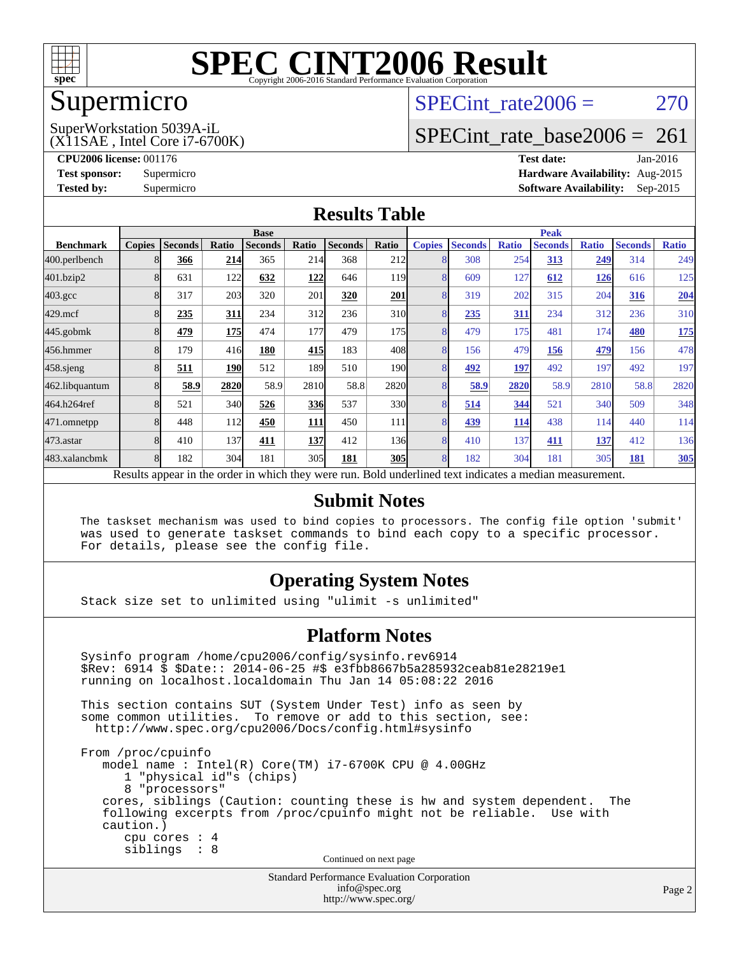

### Supermicro

## SPECint rate $2006 = 270$

(X11SAE , Intel Core i7-6700K) SuperWorkstation 5039A-iL

[SPECint\\_rate\\_base2006 =](http://www.spec.org/auto/cpu2006/Docs/result-fields.html#SPECintratebase2006) 261

**[CPU2006 license:](http://www.spec.org/auto/cpu2006/Docs/result-fields.html#CPU2006license)** 001176 **[Test date:](http://www.spec.org/auto/cpu2006/Docs/result-fields.html#Testdate)** Jan-2016 **[Test sponsor:](http://www.spec.org/auto/cpu2006/Docs/result-fields.html#Testsponsor)** Supermicro **[Hardware Availability:](http://www.spec.org/auto/cpu2006/Docs/result-fields.html#HardwareAvailability)** Aug-2015 **[Tested by:](http://www.spec.org/auto/cpu2006/Docs/result-fields.html#Testedby)** Supermicro **Supermicro [Software Availability:](http://www.spec.org/auto/cpu2006/Docs/result-fields.html#SoftwareAvailability)** Sep-2015

#### **[Results Table](http://www.spec.org/auto/cpu2006/Docs/result-fields.html#ResultsTable)**

|                                                                                                          | <b>Base</b>   |                |            |                |            |                | <b>Peak</b>      |               |                |              |                |              |                |              |
|----------------------------------------------------------------------------------------------------------|---------------|----------------|------------|----------------|------------|----------------|------------------|---------------|----------------|--------------|----------------|--------------|----------------|--------------|
| <b>Benchmark</b>                                                                                         | <b>Copies</b> | <b>Seconds</b> | Ratio      | <b>Seconds</b> | Ratio      | <b>Seconds</b> | Ratio            | <b>Copies</b> | <b>Seconds</b> | <b>Ratio</b> | <b>Seconds</b> | <b>Ratio</b> | <b>Seconds</b> | <b>Ratio</b> |
| 400.perlbench                                                                                            |               | 366            | 214        | 365            | 214        | 368            | 212              | 8             | 308            | 254          | 313            | 249          | 314            | 249          |
| 401.bzip2                                                                                                |               | 631            | 122        | 632            | 122        | 646            | 119 <sub>1</sub> | 8             | 609            | 127          | 612            | <u>126</u>   | 616            | 125          |
| $403.\mathrm{gcc}$                                                                                       |               | 317            | 203        | 320            | 201        | 320            | 201              | 8             | 319            | 202          | 315            | 204          | 316            | 204          |
| $429$ .mcf                                                                                               |               | 235            | 311        | 234            | 312        | 236            | 31 <sub>0</sub>  | 8             | 235            | 311          | 234            | 312          | 236            | 310          |
| $445$ .gobmk                                                                                             |               | 479            | <b>175</b> | 474            | 177        | 479            | 175              | 8             | 479            | 175          | 481            | 174          | 480            | 175          |
| 456.hmmer                                                                                                |               | 179            | 416        | 180            | 415        | 183            | 408              | 8             | 156            | 479          | 156            | 479          | 156            | 478          |
| $458$ .sjeng                                                                                             |               | 511            | <b>190</b> | 512            | 189        | 510            | 190 <sup>l</sup> | 8             | 492            | 197          | 492            | 197          | 492            | 197          |
| 462.libquantum                                                                                           |               | 58.9           | 2820       | 58.9           | 2810       | 58.8           | 2820             | 8             | 58.9           | 2820         | 58.9           | 2810         | 58.8           | 2820         |
| 464.h264ref                                                                                              |               | 521            | 340        | 526            | <u>336</u> | 537            | 330l             | 8             | 514            | 344          | 521            | 340          | 509            | 348          |
| 471.omnetpp                                                                                              |               | 448            | 112        | 450            | 111        | 450            | 111              | 8             | 439            | 114          | 438            | 114          | 440            | 114          |
| 473.astar                                                                                                | 8             | 410            | 137        | 411            | 137        | 412            | 136              | 8             | 410            | 137          | 411            | 137          | 412            | 136          |
| 483.xalancbmk                                                                                            |               | 182            | 304        | 181            | 305        | 181            | <b>305</b>       | 8             | 182            | 304          | 181            | 305          | 181            | 305          |
| Results appear in the order in which they were run. Bold underlined text indicates a median measurement. |               |                |            |                |            |                |                  |               |                |              |                |              |                |              |

#### **[Submit Notes](http://www.spec.org/auto/cpu2006/Docs/result-fields.html#SubmitNotes)**

 The taskset mechanism was used to bind copies to processors. The config file option 'submit' was used to generate taskset commands to bind each copy to a specific processor. For details, please see the config file.

#### **[Operating System Notes](http://www.spec.org/auto/cpu2006/Docs/result-fields.html#OperatingSystemNotes)**

Stack size set to unlimited using "ulimit -s unlimited"

#### **[Platform Notes](http://www.spec.org/auto/cpu2006/Docs/result-fields.html#PlatformNotes)**

Standard Performance Evaluation Corporation Sysinfo program /home/cpu2006/config/sysinfo.rev6914 \$Rev: 6914 \$ \$Date:: 2014-06-25 #\$ e3fbb8667b5a285932ceab81e28219e1 running on localhost.localdomain Thu Jan 14 05:08:22 2016 This section contains SUT (System Under Test) info as seen by some common utilities. To remove or add to this section, see: <http://www.spec.org/cpu2006/Docs/config.html#sysinfo> From /proc/cpuinfo model name : Intel(R) Core(TM) i7-6700K CPU @ 4.00GHz 1 "physical id"s (chips) 8 "processors" cores, siblings (Caution: counting these is hw and system dependent. The following excerpts from /proc/cpuinfo might not be reliable. Use with caution.) cpu cores : 4 siblings : 8 Continued on next page

[info@spec.org](mailto:info@spec.org) <http://www.spec.org/>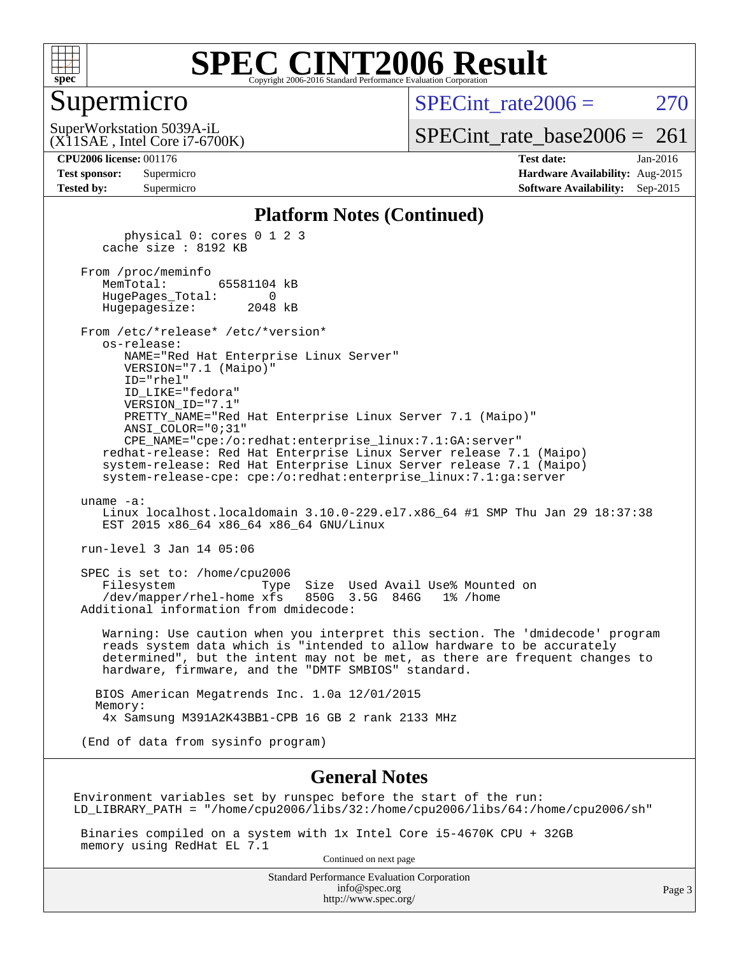

#### Supermicro

 $SPECint rate2006 = 270$ 

(X11SAE , Intel Core i7-6700K) SuperWorkstation 5039A-iL

[SPECint\\_rate\\_base2006 =](http://www.spec.org/auto/cpu2006/Docs/result-fields.html#SPECintratebase2006)  $261$ 

#### **[CPU2006 license:](http://www.spec.org/auto/cpu2006/Docs/result-fields.html#CPU2006license)** 001176 **[Test date:](http://www.spec.org/auto/cpu2006/Docs/result-fields.html#Testdate)** Jan-2016

| <b>Test sponsor:</b> | Supermicro |  |  |  |
|----------------------|------------|--|--|--|
| <b>Tested by:</b>    | Supermicro |  |  |  |

**[Hardware Availability:](http://www.spec.org/auto/cpu2006/Docs/result-fields.html#HardwareAvailability)** Aug-2015 **[Software Availability:](http://www.spec.org/auto/cpu2006/Docs/result-fields.html#SoftwareAvailability)** Sep-2015

#### **[Platform Notes \(Continued\)](http://www.spec.org/auto/cpu2006/Docs/result-fields.html#PlatformNotes)**

 physical 0: cores 0 1 2 3 cache size : 8192 KB From /proc/meminfo MemTotal: 65581104 kB HugePages\_Total: 0 Hugepagesize: 2048 kB From /etc/\*release\* /etc/\*version\* os-release: NAME="Red Hat Enterprise Linux Server" VERSION="7.1 (Maipo)" ID="rhel" ID\_LIKE="fedora" VERSION\_ID="7.1" PRETTY\_NAME="Red Hat Enterprise Linux Server 7.1 (Maipo)" ANSI\_COLOR="0;31" CPE\_NAME="cpe:/o:redhat:enterprise\_linux:7.1:GA:server" redhat-release: Red Hat Enterprise Linux Server release 7.1 (Maipo) system-release: Red Hat Enterprise Linux Server release 7.1 (Maipo) system-release-cpe: cpe:/o:redhat:enterprise\_linux:7.1:ga:server uname -a: Linux localhost.localdomain 3.10.0-229.el7.x86\_64 #1 SMP Thu Jan 29 18:37:38 EST 2015 x86 64 x86 64 x86 64 GNU/Linux run-level 3 Jan 14 05:06 SPEC is set to: /home/cpu2006 Filesystem Type Size Used Avail Use% Mounted on /dev/mapper/rhel-home xfs 850G 3.5G 846G 1% /home Additional information from dmidecode: Warning: Use caution when you interpret this section. The 'dmidecode' program reads system data which is "intended to allow hardware to be accurately determined", but the intent may not be met, as there are frequent changes to hardware, firmware, and the "DMTF SMBIOS" standard. BIOS American Megatrends Inc. 1.0a 12/01/2015 Memory: 4x Samsung M391A2K43BB1-CPB 16 GB 2 rank 2133 MHz (End of data from sysinfo program)

#### **[General Notes](http://www.spec.org/auto/cpu2006/Docs/result-fields.html#GeneralNotes)**

Environment variables set by runspec before the start of the run: LD\_LIBRARY\_PATH = "/home/cpu2006/libs/32:/home/cpu2006/libs/64:/home/cpu2006/sh"

 Binaries compiled on a system with 1x Intel Core i5-4670K CPU + 32GB memory using RedHat EL 7.1

Continued on next page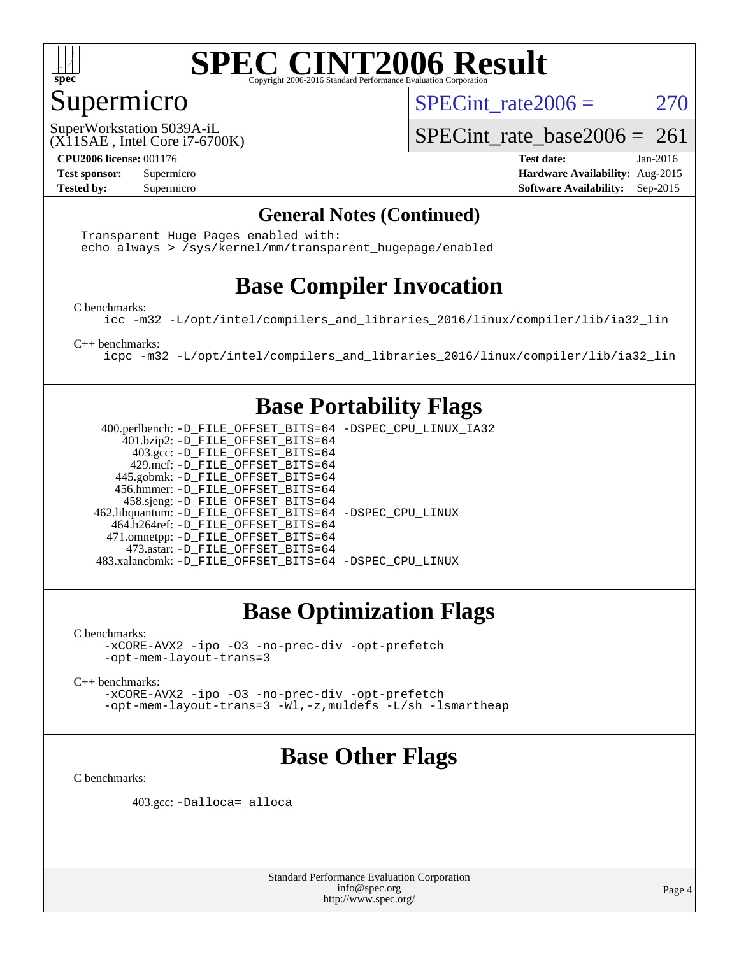

### Supermicro

SPECint rate $2006 = 270$ 

(X11SAE , Intel Core i7-6700K) SuperWorkstation 5039A-iL

SPECint rate base2006 =  $261$ 

**[CPU2006 license:](http://www.spec.org/auto/cpu2006/Docs/result-fields.html#CPU2006license)** 001176 **[Test date:](http://www.spec.org/auto/cpu2006/Docs/result-fields.html#Testdate)** Jan-2016 **[Test sponsor:](http://www.spec.org/auto/cpu2006/Docs/result-fields.html#Testsponsor)** Supermicro **[Hardware Availability:](http://www.spec.org/auto/cpu2006/Docs/result-fields.html#HardwareAvailability)** Aug-2015 **[Tested by:](http://www.spec.org/auto/cpu2006/Docs/result-fields.html#Testedby)** Supermicro **Supermicro [Software Availability:](http://www.spec.org/auto/cpu2006/Docs/result-fields.html#SoftwareAvailability)** Sep-2015

#### **[General Notes \(Continued\)](http://www.spec.org/auto/cpu2006/Docs/result-fields.html#GeneralNotes)**

 Transparent Huge Pages enabled with: echo always > /sys/kernel/mm/transparent\_hugepage/enabled

### **[Base Compiler Invocation](http://www.spec.org/auto/cpu2006/Docs/result-fields.html#BaseCompilerInvocation)**

[C benchmarks](http://www.spec.org/auto/cpu2006/Docs/result-fields.html#Cbenchmarks):

[icc -m32 -L/opt/intel/compilers\\_and\\_libraries\\_2016/linux/compiler/lib/ia32\\_lin](http://www.spec.org/cpu2006/results/res2016q1/cpu2006-20160120-38746.flags.html#user_CCbase_intel_icc_e10256ba5924b668798078a321b0cb3f)

[C++ benchmarks:](http://www.spec.org/auto/cpu2006/Docs/result-fields.html#CXXbenchmarks)

[icpc -m32 -L/opt/intel/compilers\\_and\\_libraries\\_2016/linux/compiler/lib/ia32\\_lin](http://www.spec.org/cpu2006/results/res2016q1/cpu2006-20160120-38746.flags.html#user_CXXbase_intel_icpc_b4f50a394bdb4597aa5879c16bc3f5c5)

#### **[Base Portability Flags](http://www.spec.org/auto/cpu2006/Docs/result-fields.html#BasePortabilityFlags)**

 400.perlbench: [-D\\_FILE\\_OFFSET\\_BITS=64](http://www.spec.org/cpu2006/results/res2016q1/cpu2006-20160120-38746.flags.html#user_basePORTABILITY400_perlbench_file_offset_bits_64_438cf9856305ebd76870a2c6dc2689ab) [-DSPEC\\_CPU\\_LINUX\\_IA32](http://www.spec.org/cpu2006/results/res2016q1/cpu2006-20160120-38746.flags.html#b400.perlbench_baseCPORTABILITY_DSPEC_CPU_LINUX_IA32) 401.bzip2: [-D\\_FILE\\_OFFSET\\_BITS=64](http://www.spec.org/cpu2006/results/res2016q1/cpu2006-20160120-38746.flags.html#user_basePORTABILITY401_bzip2_file_offset_bits_64_438cf9856305ebd76870a2c6dc2689ab) 403.gcc: [-D\\_FILE\\_OFFSET\\_BITS=64](http://www.spec.org/cpu2006/results/res2016q1/cpu2006-20160120-38746.flags.html#user_basePORTABILITY403_gcc_file_offset_bits_64_438cf9856305ebd76870a2c6dc2689ab) 429.mcf: [-D\\_FILE\\_OFFSET\\_BITS=64](http://www.spec.org/cpu2006/results/res2016q1/cpu2006-20160120-38746.flags.html#user_basePORTABILITY429_mcf_file_offset_bits_64_438cf9856305ebd76870a2c6dc2689ab) 445.gobmk: [-D\\_FILE\\_OFFSET\\_BITS=64](http://www.spec.org/cpu2006/results/res2016q1/cpu2006-20160120-38746.flags.html#user_basePORTABILITY445_gobmk_file_offset_bits_64_438cf9856305ebd76870a2c6dc2689ab) 456.hmmer: [-D\\_FILE\\_OFFSET\\_BITS=64](http://www.spec.org/cpu2006/results/res2016q1/cpu2006-20160120-38746.flags.html#user_basePORTABILITY456_hmmer_file_offset_bits_64_438cf9856305ebd76870a2c6dc2689ab) 458.sjeng: [-D\\_FILE\\_OFFSET\\_BITS=64](http://www.spec.org/cpu2006/results/res2016q1/cpu2006-20160120-38746.flags.html#user_basePORTABILITY458_sjeng_file_offset_bits_64_438cf9856305ebd76870a2c6dc2689ab) 462.libquantum: [-D\\_FILE\\_OFFSET\\_BITS=64](http://www.spec.org/cpu2006/results/res2016q1/cpu2006-20160120-38746.flags.html#user_basePORTABILITY462_libquantum_file_offset_bits_64_438cf9856305ebd76870a2c6dc2689ab) [-DSPEC\\_CPU\\_LINUX](http://www.spec.org/cpu2006/results/res2016q1/cpu2006-20160120-38746.flags.html#b462.libquantum_baseCPORTABILITY_DSPEC_CPU_LINUX) 464.h264ref: [-D\\_FILE\\_OFFSET\\_BITS=64](http://www.spec.org/cpu2006/results/res2016q1/cpu2006-20160120-38746.flags.html#user_basePORTABILITY464_h264ref_file_offset_bits_64_438cf9856305ebd76870a2c6dc2689ab) 471.omnetpp: [-D\\_FILE\\_OFFSET\\_BITS=64](http://www.spec.org/cpu2006/results/res2016q1/cpu2006-20160120-38746.flags.html#user_basePORTABILITY471_omnetpp_file_offset_bits_64_438cf9856305ebd76870a2c6dc2689ab) 473.astar: [-D\\_FILE\\_OFFSET\\_BITS=64](http://www.spec.org/cpu2006/results/res2016q1/cpu2006-20160120-38746.flags.html#user_basePORTABILITY473_astar_file_offset_bits_64_438cf9856305ebd76870a2c6dc2689ab) 483.xalancbmk: [-D\\_FILE\\_OFFSET\\_BITS=64](http://www.spec.org/cpu2006/results/res2016q1/cpu2006-20160120-38746.flags.html#user_basePORTABILITY483_xalancbmk_file_offset_bits_64_438cf9856305ebd76870a2c6dc2689ab) [-DSPEC\\_CPU\\_LINUX](http://www.spec.org/cpu2006/results/res2016q1/cpu2006-20160120-38746.flags.html#b483.xalancbmk_baseCXXPORTABILITY_DSPEC_CPU_LINUX)

### **[Base Optimization Flags](http://www.spec.org/auto/cpu2006/Docs/result-fields.html#BaseOptimizationFlags)**

[C benchmarks](http://www.spec.org/auto/cpu2006/Docs/result-fields.html#Cbenchmarks):

[-xCORE-AVX2](http://www.spec.org/cpu2006/results/res2016q1/cpu2006-20160120-38746.flags.html#user_CCbase_f-xAVX2_5f5fc0cbe2c9f62c816d3e45806c70d7) [-ipo](http://www.spec.org/cpu2006/results/res2016q1/cpu2006-20160120-38746.flags.html#user_CCbase_f-ipo) [-O3](http://www.spec.org/cpu2006/results/res2016q1/cpu2006-20160120-38746.flags.html#user_CCbase_f-O3) [-no-prec-div](http://www.spec.org/cpu2006/results/res2016q1/cpu2006-20160120-38746.flags.html#user_CCbase_f-no-prec-div) [-opt-prefetch](http://www.spec.org/cpu2006/results/res2016q1/cpu2006-20160120-38746.flags.html#user_CCbase_f-opt-prefetch) [-opt-mem-layout-trans=3](http://www.spec.org/cpu2006/results/res2016q1/cpu2006-20160120-38746.flags.html#user_CCbase_f-opt-mem-layout-trans_a7b82ad4bd7abf52556d4961a2ae94d5)

[C++ benchmarks:](http://www.spec.org/auto/cpu2006/Docs/result-fields.html#CXXbenchmarks)

[-xCORE-AVX2](http://www.spec.org/cpu2006/results/res2016q1/cpu2006-20160120-38746.flags.html#user_CXXbase_f-xAVX2_5f5fc0cbe2c9f62c816d3e45806c70d7) [-ipo](http://www.spec.org/cpu2006/results/res2016q1/cpu2006-20160120-38746.flags.html#user_CXXbase_f-ipo) [-O3](http://www.spec.org/cpu2006/results/res2016q1/cpu2006-20160120-38746.flags.html#user_CXXbase_f-O3) [-no-prec-div](http://www.spec.org/cpu2006/results/res2016q1/cpu2006-20160120-38746.flags.html#user_CXXbase_f-no-prec-div) [-opt-prefetch](http://www.spec.org/cpu2006/results/res2016q1/cpu2006-20160120-38746.flags.html#user_CXXbase_f-opt-prefetch) [-opt-mem-layout-trans=3](http://www.spec.org/cpu2006/results/res2016q1/cpu2006-20160120-38746.flags.html#user_CXXbase_f-opt-mem-layout-trans_a7b82ad4bd7abf52556d4961a2ae94d5) [-Wl,-z,muldefs](http://www.spec.org/cpu2006/results/res2016q1/cpu2006-20160120-38746.flags.html#user_CXXbase_link_force_multiple1_74079c344b956b9658436fd1b6dd3a8a) [-L/sh -lsmartheap](http://www.spec.org/cpu2006/results/res2016q1/cpu2006-20160120-38746.flags.html#user_CXXbase_SmartHeap_32f6c82aa1ed9c52345d30cf6e4a0499)

### **[Base Other Flags](http://www.spec.org/auto/cpu2006/Docs/result-fields.html#BaseOtherFlags)**

[C benchmarks](http://www.spec.org/auto/cpu2006/Docs/result-fields.html#Cbenchmarks):

403.gcc: [-Dalloca=\\_alloca](http://www.spec.org/cpu2006/results/res2016q1/cpu2006-20160120-38746.flags.html#b403.gcc_baseEXTRA_CFLAGS_Dalloca_be3056838c12de2578596ca5467af7f3)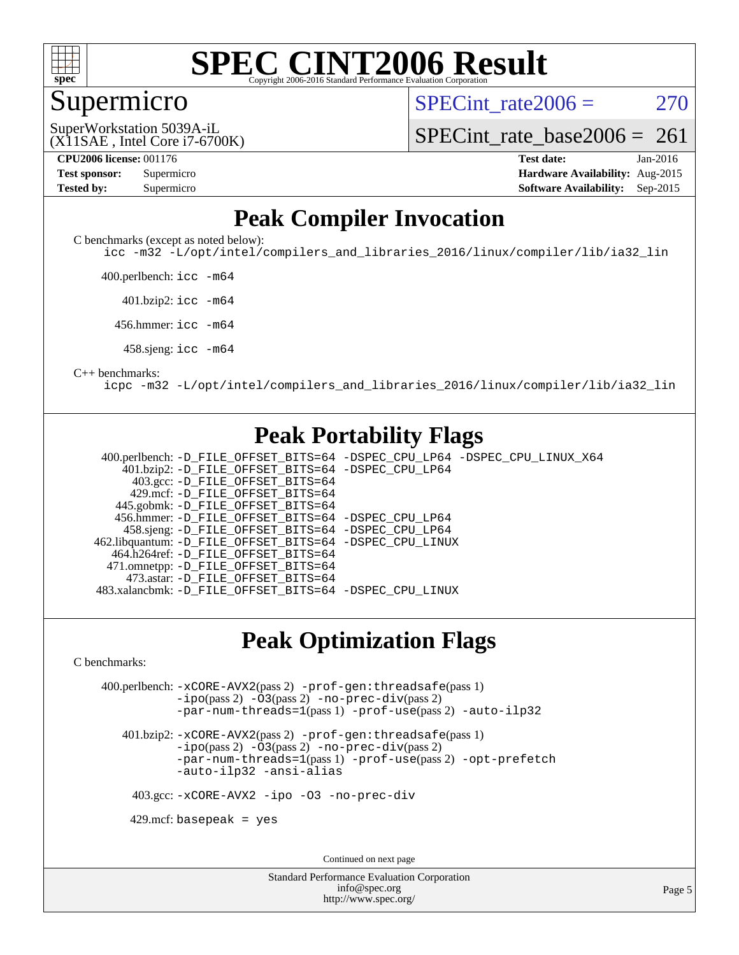

#### Supermicro

SPECint rate $2006 = 270$ 

(X11SAE , Intel Core i7-6700K) SuperWorkstation 5039A-iL

[SPECint\\_rate\\_base2006 =](http://www.spec.org/auto/cpu2006/Docs/result-fields.html#SPECintratebase2006)  $261$ 

**[CPU2006 license:](http://www.spec.org/auto/cpu2006/Docs/result-fields.html#CPU2006license)** 001176 **[Test date:](http://www.spec.org/auto/cpu2006/Docs/result-fields.html#Testdate)** Jan-2016 **[Test sponsor:](http://www.spec.org/auto/cpu2006/Docs/result-fields.html#Testsponsor)** Supermicro **[Hardware Availability:](http://www.spec.org/auto/cpu2006/Docs/result-fields.html#HardwareAvailability)** Aug-2015 **[Tested by:](http://www.spec.org/auto/cpu2006/Docs/result-fields.html#Testedby)** Supermicro **Supermicro [Software Availability:](http://www.spec.org/auto/cpu2006/Docs/result-fields.html#SoftwareAvailability)** Sep-2015

### **[Peak Compiler Invocation](http://www.spec.org/auto/cpu2006/Docs/result-fields.html#PeakCompilerInvocation)**

[C benchmarks \(except as noted below\)](http://www.spec.org/auto/cpu2006/Docs/result-fields.html#Cbenchmarksexceptasnotedbelow):

[icc -m32 -L/opt/intel/compilers\\_and\\_libraries\\_2016/linux/compiler/lib/ia32\\_lin](http://www.spec.org/cpu2006/results/res2016q1/cpu2006-20160120-38746.flags.html#user_CCpeak_intel_icc_e10256ba5924b668798078a321b0cb3f)

400.perlbench: [icc -m64](http://www.spec.org/cpu2006/results/res2016q1/cpu2006-20160120-38746.flags.html#user_peakCCLD400_perlbench_intel_icc_64bit_bda6cc9af1fdbb0edc3795bac97ada53)

401.bzip2: [icc -m64](http://www.spec.org/cpu2006/results/res2016q1/cpu2006-20160120-38746.flags.html#user_peakCCLD401_bzip2_intel_icc_64bit_bda6cc9af1fdbb0edc3795bac97ada53)

456.hmmer: [icc -m64](http://www.spec.org/cpu2006/results/res2016q1/cpu2006-20160120-38746.flags.html#user_peakCCLD456_hmmer_intel_icc_64bit_bda6cc9af1fdbb0edc3795bac97ada53)

458.sjeng: [icc -m64](http://www.spec.org/cpu2006/results/res2016q1/cpu2006-20160120-38746.flags.html#user_peakCCLD458_sjeng_intel_icc_64bit_bda6cc9af1fdbb0edc3795bac97ada53)

#### [C++ benchmarks:](http://www.spec.org/auto/cpu2006/Docs/result-fields.html#CXXbenchmarks)

[icpc -m32 -L/opt/intel/compilers\\_and\\_libraries\\_2016/linux/compiler/lib/ia32\\_lin](http://www.spec.org/cpu2006/results/res2016q1/cpu2006-20160120-38746.flags.html#user_CXXpeak_intel_icpc_b4f50a394bdb4597aa5879c16bc3f5c5)

#### **[Peak Portability Flags](http://www.spec.org/auto/cpu2006/Docs/result-fields.html#PeakPortabilityFlags)**

 400.perlbench: [-D\\_FILE\\_OFFSET\\_BITS=64](http://www.spec.org/cpu2006/results/res2016q1/cpu2006-20160120-38746.flags.html#user_peakPORTABILITY400_perlbench_file_offset_bits_64_438cf9856305ebd76870a2c6dc2689ab) [-DSPEC\\_CPU\\_LP64](http://www.spec.org/cpu2006/results/res2016q1/cpu2006-20160120-38746.flags.html#b400.perlbench_peakCPORTABILITY_DSPEC_CPU_LP64) [-DSPEC\\_CPU\\_LINUX\\_X64](http://www.spec.org/cpu2006/results/res2016q1/cpu2006-20160120-38746.flags.html#b400.perlbench_peakCPORTABILITY_DSPEC_CPU_LINUX_X64) 401.bzip2: [-D\\_FILE\\_OFFSET\\_BITS=64](http://www.spec.org/cpu2006/results/res2016q1/cpu2006-20160120-38746.flags.html#user_peakPORTABILITY401_bzip2_file_offset_bits_64_438cf9856305ebd76870a2c6dc2689ab) [-DSPEC\\_CPU\\_LP64](http://www.spec.org/cpu2006/results/res2016q1/cpu2006-20160120-38746.flags.html#suite_peakCPORTABILITY401_bzip2_DSPEC_CPU_LP64) 403.gcc: [-D\\_FILE\\_OFFSET\\_BITS=64](http://www.spec.org/cpu2006/results/res2016q1/cpu2006-20160120-38746.flags.html#user_peakPORTABILITY403_gcc_file_offset_bits_64_438cf9856305ebd76870a2c6dc2689ab) 429.mcf: [-D\\_FILE\\_OFFSET\\_BITS=64](http://www.spec.org/cpu2006/results/res2016q1/cpu2006-20160120-38746.flags.html#user_peakPORTABILITY429_mcf_file_offset_bits_64_438cf9856305ebd76870a2c6dc2689ab) 445.gobmk: [-D\\_FILE\\_OFFSET\\_BITS=64](http://www.spec.org/cpu2006/results/res2016q1/cpu2006-20160120-38746.flags.html#user_peakPORTABILITY445_gobmk_file_offset_bits_64_438cf9856305ebd76870a2c6dc2689ab) 456.hmmer: [-D\\_FILE\\_OFFSET\\_BITS=64](http://www.spec.org/cpu2006/results/res2016q1/cpu2006-20160120-38746.flags.html#user_peakPORTABILITY456_hmmer_file_offset_bits_64_438cf9856305ebd76870a2c6dc2689ab) [-DSPEC\\_CPU\\_LP64](http://www.spec.org/cpu2006/results/res2016q1/cpu2006-20160120-38746.flags.html#suite_peakCPORTABILITY456_hmmer_DSPEC_CPU_LP64) 458.sjeng: [-D\\_FILE\\_OFFSET\\_BITS=64](http://www.spec.org/cpu2006/results/res2016q1/cpu2006-20160120-38746.flags.html#user_peakPORTABILITY458_sjeng_file_offset_bits_64_438cf9856305ebd76870a2c6dc2689ab) [-DSPEC\\_CPU\\_LP64](http://www.spec.org/cpu2006/results/res2016q1/cpu2006-20160120-38746.flags.html#suite_peakCPORTABILITY458_sjeng_DSPEC_CPU_LP64) 462.libquantum: [-D\\_FILE\\_OFFSET\\_BITS=64](http://www.spec.org/cpu2006/results/res2016q1/cpu2006-20160120-38746.flags.html#user_peakPORTABILITY462_libquantum_file_offset_bits_64_438cf9856305ebd76870a2c6dc2689ab) [-DSPEC\\_CPU\\_LINUX](http://www.spec.org/cpu2006/results/res2016q1/cpu2006-20160120-38746.flags.html#b462.libquantum_peakCPORTABILITY_DSPEC_CPU_LINUX) 464.h264ref: [-D\\_FILE\\_OFFSET\\_BITS=64](http://www.spec.org/cpu2006/results/res2016q1/cpu2006-20160120-38746.flags.html#user_peakPORTABILITY464_h264ref_file_offset_bits_64_438cf9856305ebd76870a2c6dc2689ab) 471.omnetpp: [-D\\_FILE\\_OFFSET\\_BITS=64](http://www.spec.org/cpu2006/results/res2016q1/cpu2006-20160120-38746.flags.html#user_peakPORTABILITY471_omnetpp_file_offset_bits_64_438cf9856305ebd76870a2c6dc2689ab) 473.astar: [-D\\_FILE\\_OFFSET\\_BITS=64](http://www.spec.org/cpu2006/results/res2016q1/cpu2006-20160120-38746.flags.html#user_peakPORTABILITY473_astar_file_offset_bits_64_438cf9856305ebd76870a2c6dc2689ab) 483.xalancbmk: [-D\\_FILE\\_OFFSET\\_BITS=64](http://www.spec.org/cpu2006/results/res2016q1/cpu2006-20160120-38746.flags.html#user_peakPORTABILITY483_xalancbmk_file_offset_bits_64_438cf9856305ebd76870a2c6dc2689ab) [-DSPEC\\_CPU\\_LINUX](http://www.spec.org/cpu2006/results/res2016q1/cpu2006-20160120-38746.flags.html#b483.xalancbmk_peakCXXPORTABILITY_DSPEC_CPU_LINUX)

#### **[Peak Optimization Flags](http://www.spec.org/auto/cpu2006/Docs/result-fields.html#PeakOptimizationFlags)**

[C benchmarks](http://www.spec.org/auto/cpu2006/Docs/result-fields.html#Cbenchmarks):

 400.perlbench: [-xCORE-AVX2](http://www.spec.org/cpu2006/results/res2016q1/cpu2006-20160120-38746.flags.html#user_peakPASS2_CFLAGSPASS2_LDCFLAGS400_perlbench_f-xAVX2_5f5fc0cbe2c9f62c816d3e45806c70d7)(pass 2) [-prof-gen:threadsafe](http://www.spec.org/cpu2006/results/res2016q1/cpu2006-20160120-38746.flags.html#user_peakPASS1_CFLAGSPASS1_LDCFLAGS400_perlbench_prof_gen_21a26eb79f378b550acd7bec9fe4467a)(pass 1) [-ipo](http://www.spec.org/cpu2006/results/res2016q1/cpu2006-20160120-38746.flags.html#user_peakPASS2_CFLAGSPASS2_LDCFLAGS400_perlbench_f-ipo)(pass 2) [-O3](http://www.spec.org/cpu2006/results/res2016q1/cpu2006-20160120-38746.flags.html#user_peakPASS2_CFLAGSPASS2_LDCFLAGS400_perlbench_f-O3)(pass 2) [-no-prec-div](http://www.spec.org/cpu2006/results/res2016q1/cpu2006-20160120-38746.flags.html#user_peakPASS2_CFLAGSPASS2_LDCFLAGS400_perlbench_f-no-prec-div)(pass 2) [-par-num-threads=1](http://www.spec.org/cpu2006/results/res2016q1/cpu2006-20160120-38746.flags.html#user_peakPASS1_CFLAGSPASS1_LDCFLAGS400_perlbench_par_num_threads_786a6ff141b4e9e90432e998842df6c2)(pass 1) [-prof-use](http://www.spec.org/cpu2006/results/res2016q1/cpu2006-20160120-38746.flags.html#user_peakPASS2_CFLAGSPASS2_LDCFLAGS400_perlbench_prof_use_bccf7792157ff70d64e32fe3e1250b55)(pass 2) [-auto-ilp32](http://www.spec.org/cpu2006/results/res2016q1/cpu2006-20160120-38746.flags.html#user_peakCOPTIMIZE400_perlbench_f-auto-ilp32)

 401.bzip2: [-xCORE-AVX2](http://www.spec.org/cpu2006/results/res2016q1/cpu2006-20160120-38746.flags.html#user_peakPASS2_CFLAGSPASS2_LDCFLAGS401_bzip2_f-xAVX2_5f5fc0cbe2c9f62c816d3e45806c70d7)(pass 2) [-prof-gen:threadsafe](http://www.spec.org/cpu2006/results/res2016q1/cpu2006-20160120-38746.flags.html#user_peakPASS1_CFLAGSPASS1_LDCFLAGS401_bzip2_prof_gen_21a26eb79f378b550acd7bec9fe4467a)(pass 1)  $-i\text{po}(pass 2)$  [-O3](http://www.spec.org/cpu2006/results/res2016q1/cpu2006-20160120-38746.flags.html#user_peakPASS2_CFLAGSPASS2_LDCFLAGS401_bzip2_f-O3) $(pass 2)$  [-no-prec-div](http://www.spec.org/cpu2006/results/res2016q1/cpu2006-20160120-38746.flags.html#user_peakPASS2_CFLAGSPASS2_LDCFLAGS401_bzip2_f-no-prec-div) $(pass 2)$ [-par-num-threads=1](http://www.spec.org/cpu2006/results/res2016q1/cpu2006-20160120-38746.flags.html#user_peakPASS1_CFLAGSPASS1_LDCFLAGS401_bzip2_par_num_threads_786a6ff141b4e9e90432e998842df6c2)(pass 1) [-prof-use](http://www.spec.org/cpu2006/results/res2016q1/cpu2006-20160120-38746.flags.html#user_peakPASS2_CFLAGSPASS2_LDCFLAGS401_bzip2_prof_use_bccf7792157ff70d64e32fe3e1250b55)(pass 2) [-opt-prefetch](http://www.spec.org/cpu2006/results/res2016q1/cpu2006-20160120-38746.flags.html#user_peakCOPTIMIZE401_bzip2_f-opt-prefetch) [-auto-ilp32](http://www.spec.org/cpu2006/results/res2016q1/cpu2006-20160120-38746.flags.html#user_peakCOPTIMIZE401_bzip2_f-auto-ilp32) [-ansi-alias](http://www.spec.org/cpu2006/results/res2016q1/cpu2006-20160120-38746.flags.html#user_peakCOPTIMIZE401_bzip2_f-ansi-alias)

403.gcc: [-xCORE-AVX2](http://www.spec.org/cpu2006/results/res2016q1/cpu2006-20160120-38746.flags.html#user_peakCOPTIMIZE403_gcc_f-xAVX2_5f5fc0cbe2c9f62c816d3e45806c70d7) [-ipo](http://www.spec.org/cpu2006/results/res2016q1/cpu2006-20160120-38746.flags.html#user_peakCOPTIMIZE403_gcc_f-ipo) [-O3](http://www.spec.org/cpu2006/results/res2016q1/cpu2006-20160120-38746.flags.html#user_peakCOPTIMIZE403_gcc_f-O3) [-no-prec-div](http://www.spec.org/cpu2006/results/res2016q1/cpu2006-20160120-38746.flags.html#user_peakCOPTIMIZE403_gcc_f-no-prec-div)

 $429$ .mcf: basepeak = yes

Continued on next page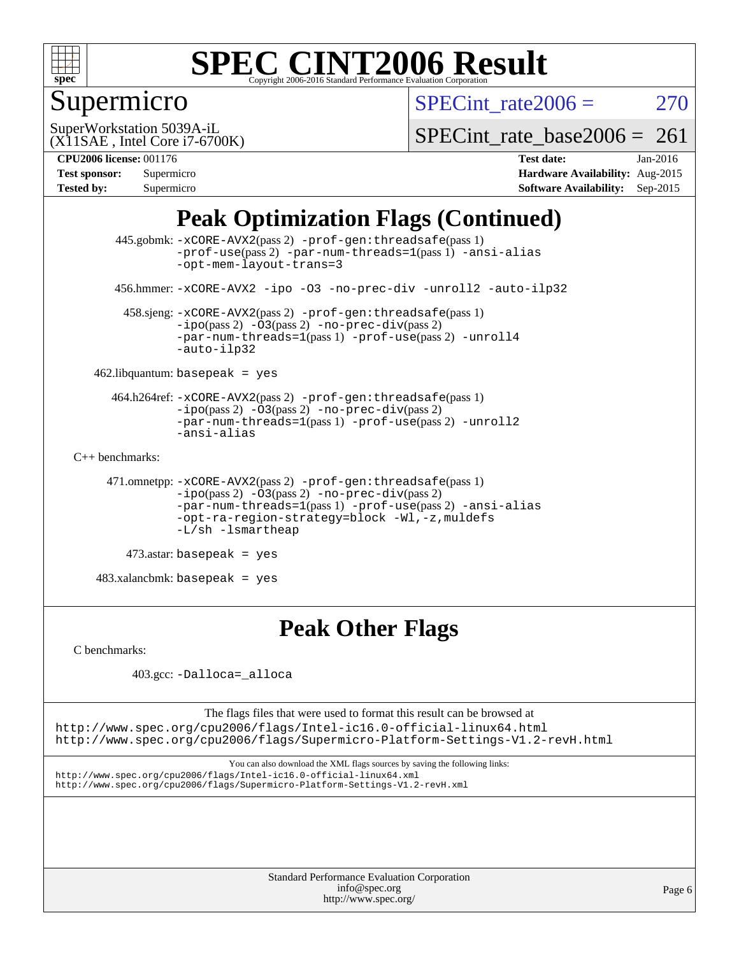

## Supermicro

SPECint rate $2006 = 270$ 

(X11SAE , Intel Core i7-6700K) SuperWorkstation 5039A-iL

[SPECint\\_rate\\_base2006 =](http://www.spec.org/auto/cpu2006/Docs/result-fields.html#SPECintratebase2006)  $261$ 

#### **[CPU2006 license:](http://www.spec.org/auto/cpu2006/Docs/result-fields.html#CPU2006license)** 001176 **[Test date:](http://www.spec.org/auto/cpu2006/Docs/result-fields.html#Testdate)** Jan-2016

| <b>Test sponsor:</b> | Supermicro |
|----------------------|------------|
| <b>Tested by:</b>    | Supermicro |

**[Hardware Availability:](http://www.spec.org/auto/cpu2006/Docs/result-fields.html#HardwareAvailability)** Aug-2015 **[Software Availability:](http://www.spec.org/auto/cpu2006/Docs/result-fields.html#SoftwareAvailability)** Sep-2015

### **[Peak Optimization Flags \(Continued\)](http://www.spec.org/auto/cpu2006/Docs/result-fields.html#PeakOptimizationFlags)**

```
 445.gobmk: -xCORE-AVX2(pass 2) -prof-gen:threadsafe(pass 1)
                -prof-use(pass 2) -par-num-threads=1(pass 1) -ansi-alias
                -opt-mem-layout-trans=3
       456.hmmer: -xCORE-AVX2 -ipo -O3 -no-prec-div -unroll2 -auto-ilp32
        458.sjeng: -xCORE-AVX2(pass 2) -prof-gen:threadsafe(pass 1)
                -i\text{po}(pass 2) -\overline{O}3(pass 2)-no-prec-div(pass 2)
                -par-num-threads=1-prof-use-unroll4
                -auto-ilp32
    462.libquantum: basepeak = yes
      464.h264ref: -xCORE-AVX2(pass 2) -prof-gen:threadsafe(pass 1)
                -ipo(pass 2) -O3(pass 2) -no-prec-div(pass 2)
               -par-num-threads=1(pass 1) -prof-use(pass 2) -unroll2
                -ansi-alias
C++ benchmarks: 
      471.omnetpp: -xCORE-AVX2(pass 2) -prof-gen:threadsafe(pass 1)
               -no-prec-div(pass 2)-par-num-threads=1(pass 1) -prof-use(pass 2) -ansi-alias
                -opt-ra-region-strategy=block -Wl,-z,muldefs
                -L/sh -lsmartheap
         473.astar: basepeak = yes
    483.xalancbmk: basepeak = yes
```
## **[Peak Other Flags](http://www.spec.org/auto/cpu2006/Docs/result-fields.html#PeakOtherFlags)**

[C benchmarks](http://www.spec.org/auto/cpu2006/Docs/result-fields.html#Cbenchmarks):

403.gcc: [-Dalloca=\\_alloca](http://www.spec.org/cpu2006/results/res2016q1/cpu2006-20160120-38746.flags.html#b403.gcc_peakEXTRA_CFLAGS_Dalloca_be3056838c12de2578596ca5467af7f3)

The flags files that were used to format this result can be browsed at <http://www.spec.org/cpu2006/flags/Intel-ic16.0-official-linux64.html> <http://www.spec.org/cpu2006/flags/Supermicro-Platform-Settings-V1.2-revH.html>

You can also download the XML flags sources by saving the following links: <http://www.spec.org/cpu2006/flags/Intel-ic16.0-official-linux64.xml> <http://www.spec.org/cpu2006/flags/Supermicro-Platform-Settings-V1.2-revH.xml>